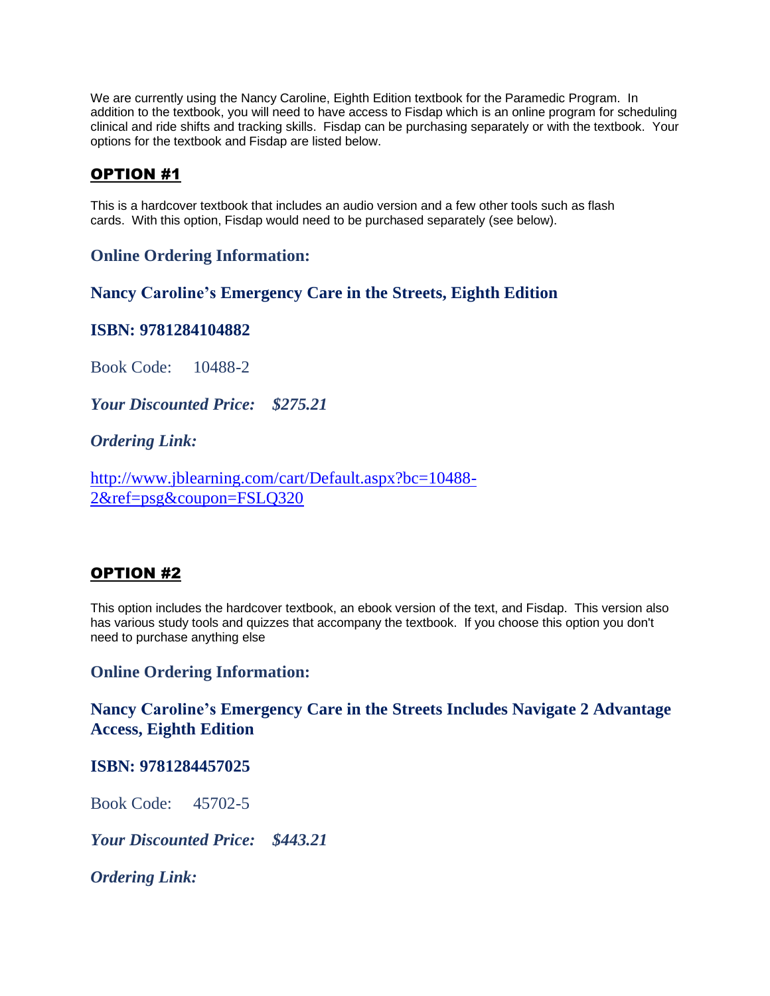We are currently using the Nancy Caroline, Eighth Edition textbook for the Paramedic Program. In addition to the textbook, you will need to have access to Fisdap which is an online program for scheduling clinical and ride shifts and tracking skills. Fisdap can be purchasing separately or with the textbook. Your options for the textbook and Fisdap are listed below.

# OPTION #1

This is a hardcover textbook that includes an audio version and a few other tools such as flash cards. With this option, Fisdap would need to be purchased separately (see below).

# **Online Ordering Information:**

**Nancy Caroline's Emergency Care in the Streets, Eighth Edition**

## **ISBN: 9781284104882**

Book Code: 10488-2

*Your Discounted Price: \$275.21*

# *Ordering Link:*

[http://www.jblearning.com/cart/Default.aspx?bc=10488-](http://www.jblearning.com/cart/Default.aspx?bc=10488-2&ref=psg&coupon=FSLQ320) [2&ref=psg&coupon=FSLQ320](http://www.jblearning.com/cart/Default.aspx?bc=10488-2&ref=psg&coupon=FSLQ320)

# OPTION #2

This option includes the hardcover textbook, an ebook version of the text, and Fisdap. This version also has various study tools and quizzes that accompany the textbook. If you choose this option you don't need to purchase anything else

## **Online Ordering Information:**

**Nancy Caroline's Emergency Care in the Streets Includes Navigate 2 Advantage Access, Eighth Edition**

### **ISBN: 9781284457025**

Book Code: 45702-5

*Your Discounted Price: \$443.21*

*Ordering Link:*